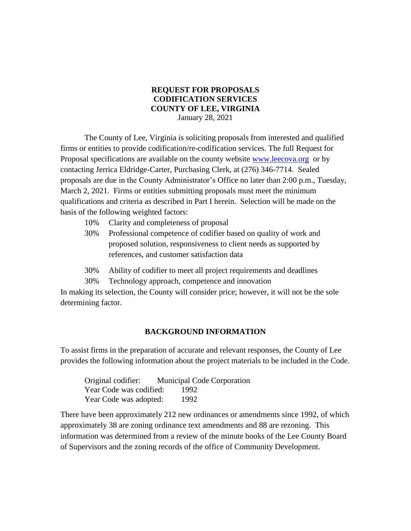## **REQUEST FOR PROPOSALS CODIFICATION SERVICES COUNTY OF LEE, VIRGINIA** January 28, 2021

The County of Lee, Virginia is soliciting proposals from interested and qualified firms or entities to provide codification/re-codification services. The full Request for Proposal specifications are available on the county website [www.leecova.org](http://www.leecova.org/) or by contacting Jerrica Eldridge-Carter, Purchasing Clerk, at (276) 346-7714. Sealed proposals are due in the County Administrator's Office no later than 2:00 p.m., Tuesday, March 2, 2021. Firms or entities submitting proposals must meet the minimum qualifications and criteria as described in Part I herein. Selection will be made on the basis of the following weighted factors:

- 10% Clarity and completeness of proposal
- 30% Professional competence of codifier based on quality of work and proposed solution, responsiveness to client needs as supported by references, and customer satisfaction data
- 30% Ability of codifier to meet all project requirements and deadlines
- 30% Technology approach, competence and innovation

In making its selection, the County will consider price; however, it will not be the sole determining factor.

### **BACKGROUND INFORMATION**

To assist firms in the preparation of accurate and relevant responses, the County of Lee provides the following information about the project materials to be included in the Code.

| Original codifier:      | <b>Municipal Code Corporation</b> |  |
|-------------------------|-----------------------------------|--|
| Year Code was codified: | 1992                              |  |
| Year Code was adopted:  | 1992                              |  |

There have been approximately 212 new ordinances or amendments since 1992, of which approximately 38 are zoning ordinance text amendments and 88 are rezoning. This information was determined from a review of the minute books of the Lee County Board of Supervisors and the zoning records of the office of Community Development.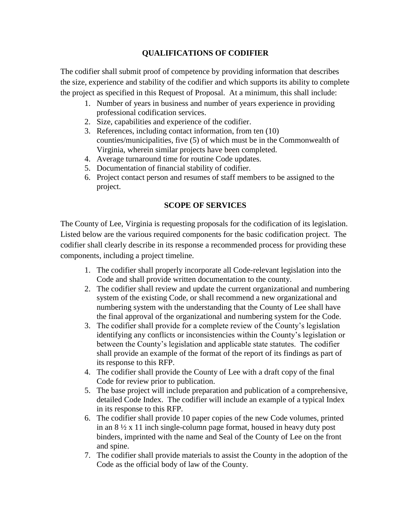# **QUALIFICATIONS OF CODIFIER**

The codifier shall submit proof of competence by providing information that describes the size, experience and stability of the codifier and which supports its ability to complete the project as specified in this Request of Proposal. At a minimum, this shall include:

- 1. Number of years in business and number of years experience in providing professional codification services.
- 2. Size, capabilities and experience of the codifier.
- 3. References, including contact information, from ten (10) counties/municipalities, five (5) of which must be in the Commonwealth of Virginia, wherein similar projects have been completed.
- 4. Average turnaround time for routine Code updates.
- 5. Documentation of financial stability of codifier.
- 6. Project contact person and resumes of staff members to be assigned to the project.

# **SCOPE OF SERVICES**

The County of Lee, Virginia is requesting proposals for the codification of its legislation. Listed below are the various required components for the basic codification project. The codifier shall clearly describe in its response a recommended process for providing these components, including a project timeline.

- 1. The codifier shall properly incorporate all Code-relevant legislation into the Code and shall provide written documentation to the county.
- 2. The codifier shall review and update the current organizational and numbering system of the existing Code, or shall recommend a new organizational and numbering system with the understanding that the County of Lee shall have the final approval of the organizational and numbering system for the Code.
- 3. The codifier shall provide for a complete review of the County's legislation identifying any conflicts or inconsistencies within the County's legislation or between the County's legislation and applicable state statutes. The codifier shall provide an example of the format of the report of its findings as part of its response to this RFP.
- 4. The codifier shall provide the County of Lee with a draft copy of the final Code for review prior to publication.
- 5. The base project will include preparation and publication of a comprehensive, detailed Code Index. The codifier will include an example of a typical Index in its response to this RFP.
- 6. The codifier shall provide 10 paper copies of the new Code volumes, printed in an 8 ½ x 11 inch single-column page format, housed in heavy duty post binders, imprinted with the name and Seal of the County of Lee on the front and spine.
- 7. The codifier shall provide materials to assist the County in the adoption of the Code as the official body of law of the County.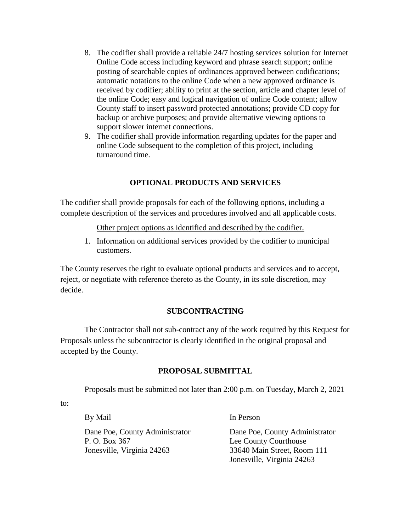- 8. The codifier shall provide a reliable 24/7 hosting services solution for Internet Online Code access including keyword and phrase search support; online posting of searchable copies of ordinances approved between codifications; automatic notations to the online Code when a new approved ordinance is received by codifier; ability to print at the section, article and chapter level of the online Code; easy and logical navigation of online Code content; allow County staff to insert password protected annotations; provide CD copy for backup or archive purposes; and provide alternative viewing options to support slower internet connections.
- 9. The codifier shall provide information regarding updates for the paper and online Code subsequent to the completion of this project, including turnaround time.

## **OPTIONAL PRODUCTS AND SERVICES**

The codifier shall provide proposals for each of the following options, including a complete description of the services and procedures involved and all applicable costs.

Other project options as identified and described by the codifier.

1. Information on additional services provided by the codifier to municipal customers.

The County reserves the right to evaluate optional products and services and to accept, reject, or negotiate with reference thereto as the County, in its sole discretion, may decide.

## **SUBCONTRACTING**

The Contractor shall not sub-contract any of the work required by this Request for Proposals unless the subcontractor is clearly identified in the original proposal and accepted by the County.

#### **PROPOSAL SUBMITTAL**

Proposals must be submitted not later than 2:00 p.m. on Tuesday, March 2, 2021

to:

P. O. Box 367 Lee County Courthouse Jonesville, Virginia 24263 33640 Main Street, Room 111

By Mail In Person

Dane Poe, County Administrator Dane Poe, County Administrator Jonesville, Virginia 24263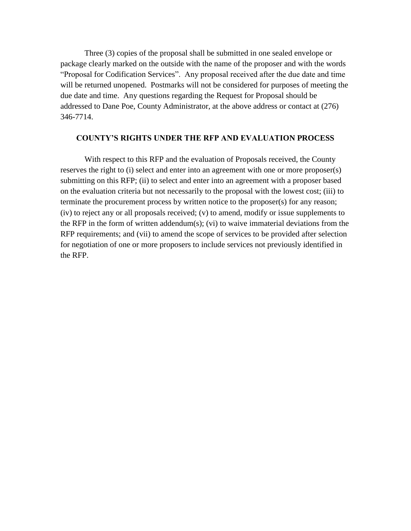Three (3) copies of the proposal shall be submitted in one sealed envelope or package clearly marked on the outside with the name of the proposer and with the words "Proposal for Codification Services". Any proposal received after the due date and time will be returned unopened. Postmarks will not be considered for purposes of meeting the due date and time. Any questions regarding the Request for Proposal should be addressed to Dane Poe, County Administrator, at the above address or contact at (276) 346-7714.

#### **COUNTY'S RIGHTS UNDER THE RFP AND EVALUATION PROCESS**

With respect to this RFP and the evaluation of Proposals received, the County reserves the right to (i) select and enter into an agreement with one or more proposer(s) submitting on this RFP; (ii) to select and enter into an agreement with a proposer based on the evaluation criteria but not necessarily to the proposal with the lowest cost; (iii) to terminate the procurement process by written notice to the proposer(s) for any reason; (iv) to reject any or all proposals received; (v) to amend, modify or issue supplements to the RFP in the form of written addendum(s); (vi) to waive immaterial deviations from the RFP requirements; and (vii) to amend the scope of services to be provided after selection for negotiation of one or more proposers to include services not previously identified in the RFP.